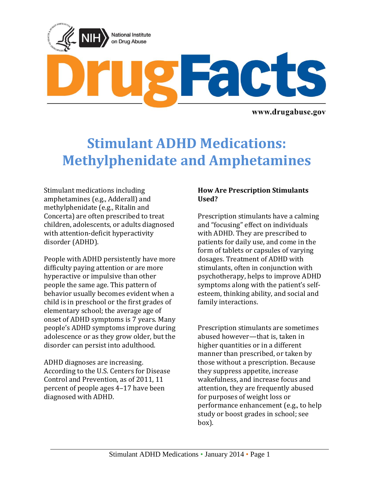

www.drugabuse.gov

# **Stimulant ADHD Medications: Methylphenidate and Amphetamines**

Stimulant medications including amphetamines (e.g., Adderall) and methylphenidate (e.g., Ritalin and Concerta) are often prescribed to treat children, adolescents, or adults diagnosed with attention-deficit hyperactivity disorder (ADHD).

People with ADHD persistently have more difficulty paying attention or are more hyperactive or impulsive than other people the same age. This pattern of behavior usually becomes evident when a child is in preschool or the first grades of elementary school; the average age of onset of ADHD symptoms is 7 years. Many people's ADHD symptoms improve during adolescence or as they grow older, but the disorder can persist into adulthood.

ADHD diagnoses are increasing. According to the U.S. Centers for Disease Control and Prevention, as of 2011, 11 percent of people ages 4–17 have been diagnosed with ADHD.

#### **How Are Prescription Stimulants Used?**

Prescription stimulants have a calming and "focusing" effect on individuals with ADHD. They are prescribed to patients for daily use, and come in the form of tablets or capsules of varying dosages. Treatment of ADHD with stimulants, often in conjunction with psychotherapy, helps to improve ADHD symptoms along with the patient's selfesteem, thinking ability, and social and family interactions.

Prescription stimulants are sometimes abused however—that is, taken in higher quantities or in a different manner than prescribed, or taken by those without a prescription. Because they suppress appetite, increase wakefulness, and increase focus and attention, they are frequently abused for purposes of weight loss or performance enhancement (e.g., to help study or boost grades in school; see box).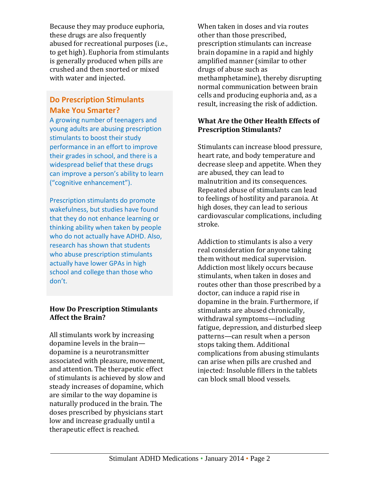Because they may produce euphoria, these drugs are also frequently abused for recreational purposes (i.e., to get high). Euphoria from stimulants is generally produced when pills are crushed and then snorted or mixed with water and injected.

## **Do Prescription Stimulants Make You Smarter?**

A growing number of teenagers and young adults are abusing prescription stimulants to boost their study performance in an effort to improve their grades in school, and there is a widespread belief that these drugs can improve a person's ability to learn ("cognitive enhancement").

Prescription stimulants do promote wakefulness, but studies have found that they do not enhance learning or thinking ability when taken by people who do not actually have ADHD. Also, research has shown that students who abuse prescription stimulants actually have lower GPAs in high school and college than those who don't.

#### **How Do Prescription Stimulants Affect the Brain?**

All stimulants work by increasing dopamine levels in the brain dopamine is a neurotransmitter associated with pleasure, movement, and attention. The therapeutic effect of stimulants is achieved by slow and steady increases of dopamine, which are similar to the way dopamine is naturally produced in the brain. The doses prescribed by physicians start low and increase gradually until a therapeutic effect is reached.

When taken in doses and via routes other than those prescribed, prescription stimulants can increase brain dopamine in a rapid and highly amplified manner (similar to other drugs of abuse such as methamphetamine), thereby disrupting normal communication between brain cells and producing euphoria and, as a result, increasing the risk of addiction.

#### **What Are the Other Health Effects of Prescription Stimulants?**

Stimulants can increase blood pressure, heart rate, and body temperature and decrease sleep and appetite. When they are abused, they can lead to malnutrition and its consequences. Repeated abuse of stimulants can lead to feelings of hostility and paranoia. At high doses, they can lead to serious cardiovascular complications, including stroke.

Addiction to stimulants is also a very real consideration for anyone taking them without medical supervision. Addiction most likely occurs because stimulants, when taken in doses and routes other than those prescribed by a doctor, can induce a rapid rise in dopamine in the brain. Furthermore, if stimulants are abused chronically, withdrawal symptoms—including fatigue, depression, and disturbed sleep patterns—can result when a person stops taking them. Additional complications from abusing stimulants can arise when pills are crushed and injected: Insoluble fillers in the tablets can block small blood vessels.